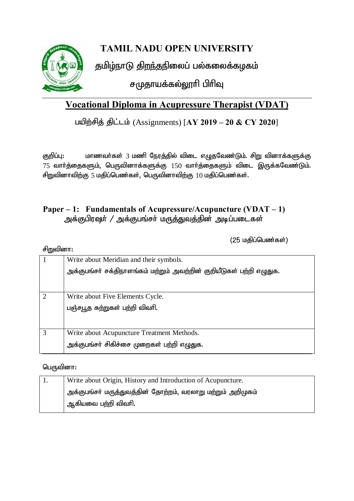

# **TAMIL NADU OPEN UNIVERSITY**

தமிழ்நாடு திறந்தநிலைப் பல்கலைக்கழகம்

சமுதாயக்கல்லூரி பிரிவு

# **Vocational Diploma in Acupressure Therapist (VDAT)**

### பயிற்சித் திட்டம் (Assignments) [AY 2019 – 20 & CY 2020]

குறிப்பு: மாணவர்கள் 3 மணி நேரத்தில் விடை எழுதவேண்டும். சிறு வினாக்களுக்கு  $75$  வார்த்தைகளும், பெருவினாக்களுக்கு  $150$  வார்த்தைகளும் விடை இருக்கவேண்டும். சிறுவினாவிற்கு 5 மதிப்பெண்கள், பெருவினாவிற்கு  $10$  மதிப்பெண்கள்.

### **Paper – 1: Fundamentals of Acupressure/Acupuncture (VDAT – 1)** அக்குபிரஷர் / அக்குபங்சர் மருத்துவத்தின் அடிப்படைகள்

 $(25 \n *u*$ திப்பெண்கள் $)$ 

#### சி $m$ வினா $:$

|                | Write about Meridian and their symbols.                              |  |  |
|----------------|----------------------------------------------------------------------|--|--|
|                | அக்குபங்சா் சக்திநாளங்கம் மற்றும் அவற்றின் குறியீடுகள் பற்றி எழுதுக. |  |  |
|                |                                                                      |  |  |
|                |                                                                      |  |  |
| $\overline{2}$ | Write about Five Elements Cycle.                                     |  |  |
|                | பஞ்சபூத சுற்றுகள் பற்றி விவரி.                                       |  |  |
|                |                                                                      |  |  |
|                |                                                                      |  |  |
| 3              | Write about Acupuncture Treatment Methods.                           |  |  |
|                | அக்குபங்சர் சிகிச்சை முறைகள் பற்றி எழுதுக.                           |  |  |
|                |                                                                      |  |  |

#### பெருவினா $:$

| Write about Origin, History and Introduction of Acupuncture. |
|--------------------------------------------------------------|
| அக்குபங்சா் மருத்துவத்தின் தோற்றம், வரலாறு மற்றும் அறிமுகம்  |
| ஆகியவை பற்றி விவரி.                                          |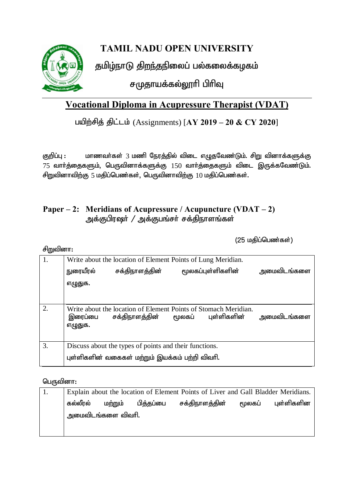

# **TAMIL NADU OPEN UNIVERSITY**

தமிழ்நாடு திறந்தநிலைப் பல்கலைக்கழகம்

சமுதாயக்கல்லூரி பிரிவு

# **Vocational Diploma in Acupressure Therapist (VDAT)**

### பயிற்சித் திட்டம் (Assignments) [AY 2019 – 20 & CY 2020]

Fwpg;G : khzth;fs; 3 kzp Neuj;jpy; tpil vOjNtz;Lk;. rpW tpdhf;fSf;F  $75$  வார்த்தைகளும், பெருவினாக்களுக்கு  $150$  வார்த்தைகளும் விடை இருக்கவேண்டும். சிறுவினாவிற்கு 5 மதிப்பெண்கள், பெருவினாவிற்கு  $10$  மதிப்பெண்கள்.

### **Paper – 2: Meridians of Acupressure / Acupuncture (VDAT – 2)** அக்குபிரஷர் / அக்குபங்சர் சக்திநாளங்கள்

 $(25 \n *u*$ திப்பெண்கள் $)$ 

சிறுவினா:

| 1. | Write about the location of Element Points of Lung Meridian.                                              |                                                                                   |        |                   |             |
|----|-----------------------------------------------------------------------------------------------------------|-----------------------------------------------------------------------------------|--------|-------------------|-------------|
|    | நுரையீரல்                                                                                                 | சக்திநாளத்தின்                                                                    |        | மூலகப்புள்ளிகளின் | அமைவிடங்களை |
|    | எழுதுக.                                                                                                   |                                                                                   |        |                   |             |
|    |                                                                                                           |                                                                                   |        |                   |             |
| 2. | இரைப்பை<br>எழுதுக.                                                                                        | Write about the location of Element Points of Stomach Meridian.<br>சக்திநாளத்தின் | மூலகப் | புள்ளிகளின்       | அமைவிடங்களை |
| 3. | Discuss about the types of points and their functions.<br>புள்ளிகளின் வகைகள் மற்றும் இயக்கம் பற்றி விவரி. |                                                                                   |        |                   |             |
|    |                                                                                                           |                                                                                   |        |                   |             |

#### பெருவினா $:$

| Explain about the location of Element Points of Liver and Gall Bladder Meridians. |         |           |                         |        |            |
|-----------------------------------------------------------------------------------|---------|-----------|-------------------------|--------|------------|
| கல்லீரல்                                                                          | மற்றும் | பித்தப்பை | சக்திநாள <u>க்</u> தின் | மூலகப் | புள்ளிகளின |
| அமைவிடங்களை விவரி.                                                                |         |           |                         |        |            |
|                                                                                   |         |           |                         |        |            |